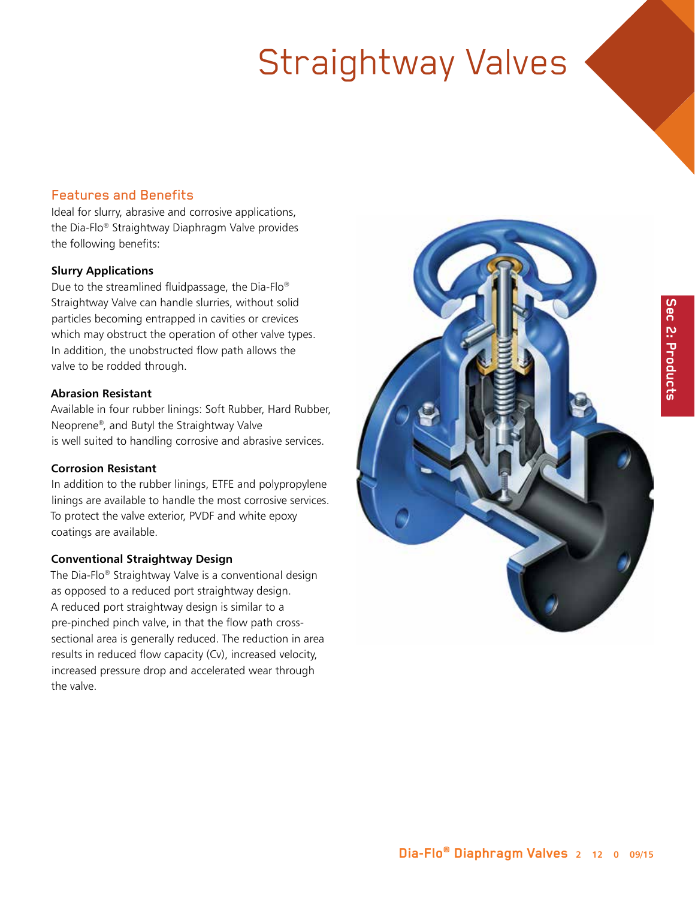#### Features and Benefits

Ideal for slurry, abrasive and corrosive applications, the Dia-Flo® Straightway Diaphragm Valve provides the following benefits:

#### **Slurry Applications**

Due to the streamlined fluidpassage, the Dia-Flo® Straightway Valve can handle slurries, without solid particles becoming entrapped in cavities or crevices which may obstruct the operation of other valve types. In addition, the unobstructed flow path allows the valve to be rodded through.

#### **Abrasion Resistant**

Available in four rubber linings: Soft Rubber, Hard Rubber, Neoprene®, and Butyl the Straightway Valve is well suited to handling corrosive and abrasive services.

#### **Corrosion Resistant**

In addition to the rubber linings, ETFE and polypropylene linings are available to handle the most corrosive services. To protect the valve exterior, PVDF and white epoxy coatings are available.

#### **Conventional Straightway Design**

The Dia-Flo® Straightway Valve is a conventional design as opposed to a reduced port straightway design. A reduced port straightway design is similar to a pre-pinched pinch valve, in that the flow path crosssectional area is generally reduced. The reduction in area results in reduced flow capacity (Cv), increased velocity, increased pressure drop and accelerated wear through the valve.

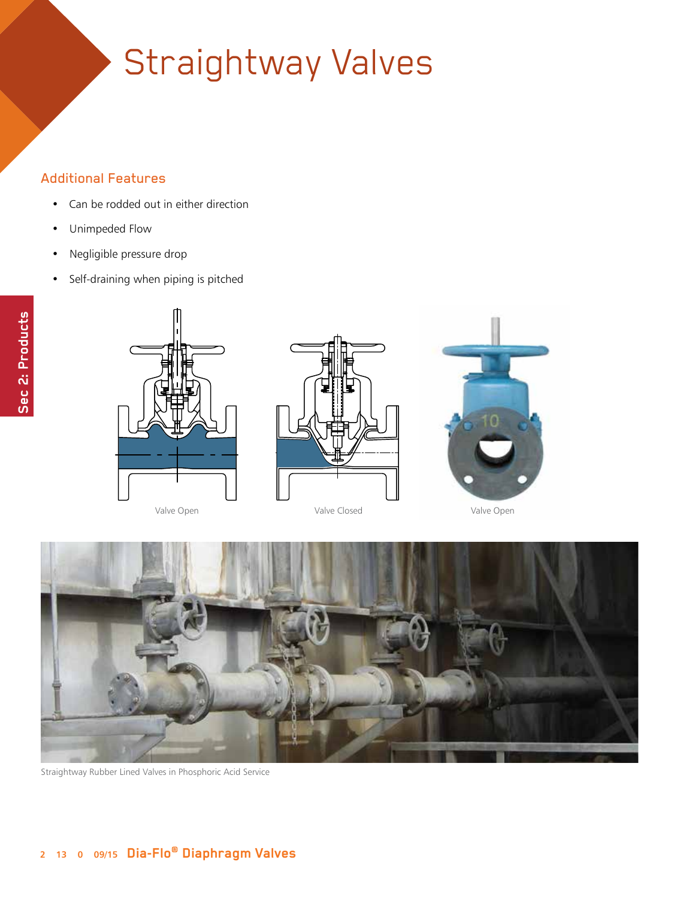#### Additional Features

- Can be rodded out in either direction
- Unimpeded Flow
- Negligible pressure drop
- Self-draining when piping is pitched



Valve Open







Straightway Rubber Lined Valves in Phosphoric Acid Service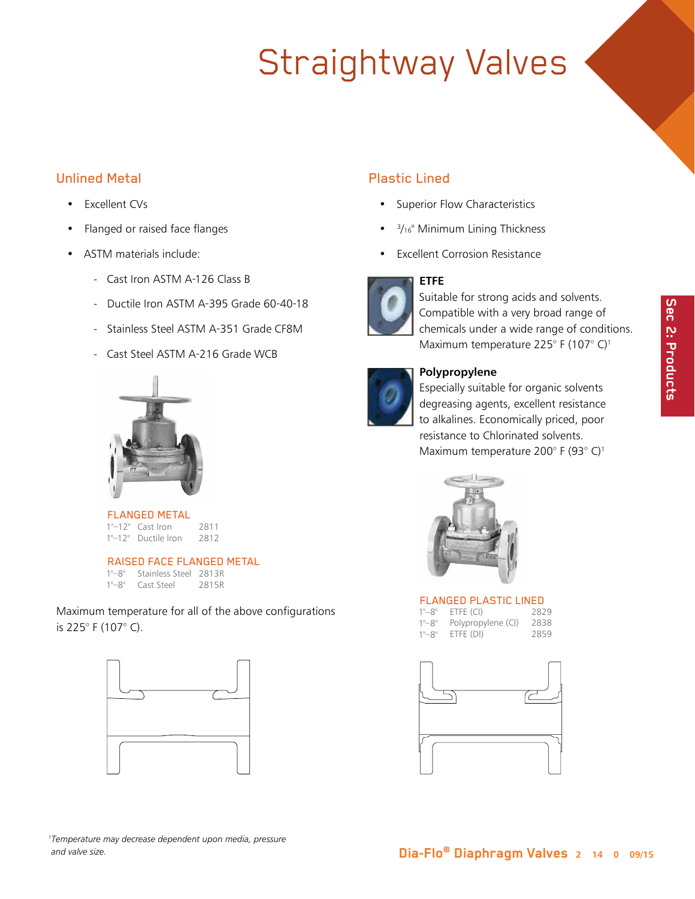

## Unlined Metal

- Excellent CVs
- Flanged or raised face flanges
- ASTM materials include:
	- Cast Iron ASTM A-126 Class B
	- Ductile Iron ASTM A-395 Grade 60-40-18
	- Stainless Steel ASTM A-351 Grade CF8M
	- Cast Steel ASTM A-216 Grade WCB



FLANGED METAL 1"–12" Cast Iron 2811 1"–12" Ductile Iron 2812

RAISED FACE FLANGED METAL<br>1"-8" Stainless Steel 2813R

| $1"$ -8"    | Stainless Steel 2813R |       |
|-------------|-----------------------|-------|
| $1"$ – $8"$ | Cast Steel            | 2815R |

Maximum temperature for all of the above configurations is 225° F (107° C).



#### *1 Temperature may decrease dependent upon media, pressure and valve size.*

# Plastic Lined

- Superior Flow Characteristics
- <sup>3</sup>/<sub>16</sub>" Minimum Lining Thickness
- **Excellent Corrosion Resistance**

### **ETFE**



### Suitable for strong acids and solvents. Compatible with a very broad range of chemicals under a wide range of conditions. Maximum temperature 225° F (107° C)<sup>1</sup>



### **Polypropylene**

Especially suitable for organic solvents degreasing agents, excellent resistance to alkalines. Economically priced, poor resistance to Chlorinated solvents. Maximum temperature 200° F (93° C)1



#### FLANGED PLASTIC LINED

| $1" - 8"$ | ETFE (CI)          | 2829 |
|-----------|--------------------|------|
| $1" - 8"$ | Polypropylene (CI) | 2838 |
| $1" - 8"$ | ETFE (DI)          | 2859 |

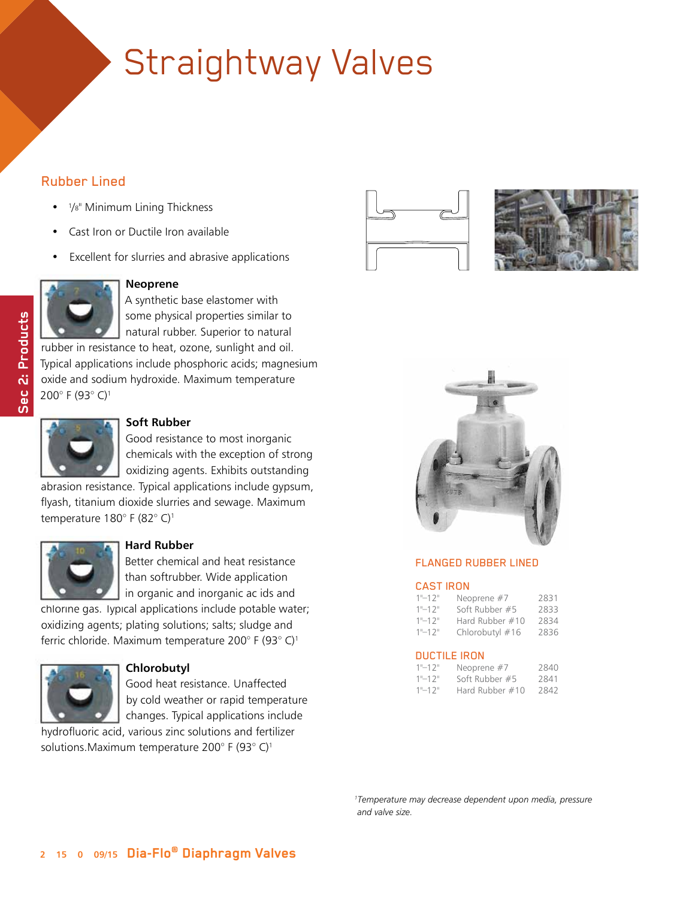#### Rubber Lined

- 1/8" Minimum Lining Thickness
- Cast Iron or Ductile Iron available
- Excellent for slurries and abrasive applications



Sec 2: Products **Sec 2: Products**

#### **Neoprene**

A synthetic base elastomer with some physical properties similar to natural rubber. Superior to natural rubber in resistance to heat, ozone, sunlight and oil.

Typical applications include phosphoric acids; magnesium oxide and sodium hydroxide. Maximum temperature 200° F (93° C)1



#### **Soft Rubber**

Good resistance to most inorganic chemicals with the exception of strong oxidizing agents. Exhibits outstanding

abrasion resistance. Typical applications include gypsum, flyash, titanium dioxide slurries and sewage. Maximum temperature 180° F (82° C)1



#### **Hard Rubber**

Better chemical and heat resistance than softrubber. Wide application in organic and inorganic ac ids and

chlorine gas. Typical applications include potable water; oxidizing agents; plating solutions; salts; sludge and ferric chloride. Maximum temperature 200° F (93° C)1



#### **Chlorobutyl**

Good heat resistance. Unaffected by cold weather or rapid temperature changes. Typical applications include

hydrofluoric acid, various zinc solutions and fertilizer solutions.Maximum temperature 200° F (93° C)1







#### FLANGED RUBBER LINED

#### CAST IRON

| $1"$ -12"  | Neoprene #7     | 2831 |
|------------|-----------------|------|
| $1"$ -12"  | Soft Rubber #5  | 2833 |
| $1" - 12"$ | Hard Rubber #10 | 2834 |
| $1"$ -12"  | Chlorobutyl #16 | 2836 |

#### DUCTILE IRON

| $1"$ -12"     | Neoprene #7     | 2840 |
|---------------|-----------------|------|
| $1"$ – 1 $2"$ | Soft Rubber #5  | 2841 |
| $1"$ -12"     | Hard Rubber #10 | 2842 |

 *1 Temperature may decrease dependent upon media, pressure and valve size.*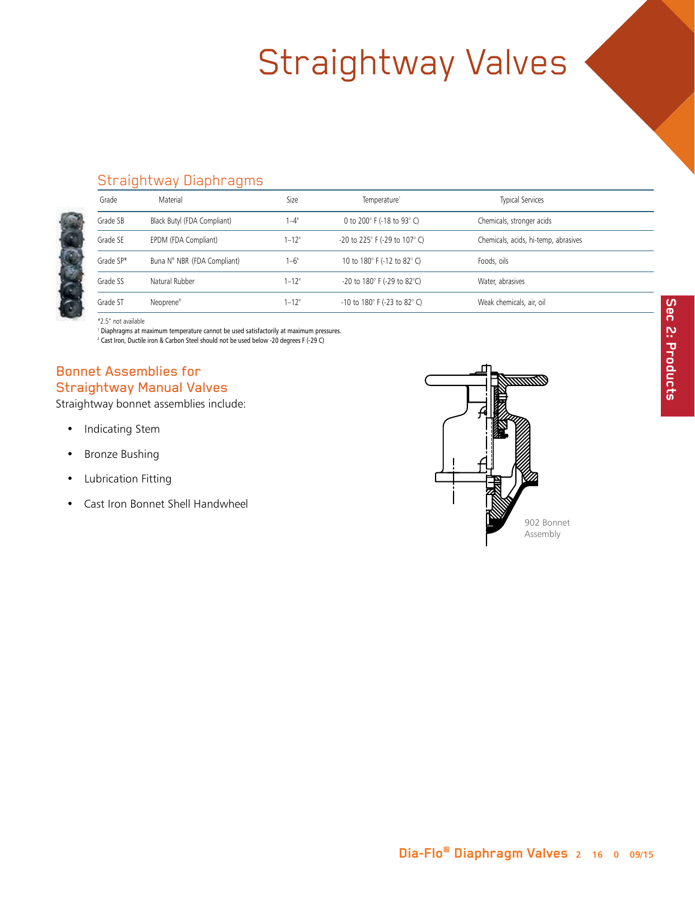

### Straightway Diaphragms

| Grade     | Material                                | Size       | Temperature <sup>1</sup>                       | <b>Typical Services</b>              |
|-----------|-----------------------------------------|------------|------------------------------------------------|--------------------------------------|
| Grade SB  | Black Butyl (FDA Compliant)             | $-4$ "     | 0 to 200 $^{\circ}$ F (-18 to 93 $^{\circ}$ C) | Chemicals, stronger acids            |
| Grade SE  | EPDM (FDA Compliant)                    | $1 - 12"$  | -20 to 225° F (-29 to 107° C)                  | Chemicals, acids, hi-temp, abrasives |
| Grade SP* | Buna N <sup>®</sup> NBR (FDA Compliant) | $1-6$ "    | 10 to 180° F (-12 to 82° C)                    | Foods, oils                          |
| Grade SS  | Natural Rubber                          | $1 - 12$ " | -20 to 180° F (-29 to 82°C)                    | Water, abrasives                     |
| Grade ST  | Neoprene®                               | $1 - 12"$  | -10 to 180° F (-23 to 82° C)                   | Weak chemicals, air, oil             |

\*2.5" not available

<sup>1</sup> D iaphragms at maximum temperature cannot be used satisfactorily at maximum pressures.

<sup>2</sup> Cast Iron, Ductile iron & Carbon Steel should not be used below -20 degrees F (-29 C)

### Bonnet Assemblies for Straightway Manual Valves

Straightway bonnet assemblies include:

- Indicating Stem
- Bronze Bushing
- Lubrication Fitting
- Cast Iron Bonnet Shell Handwheel